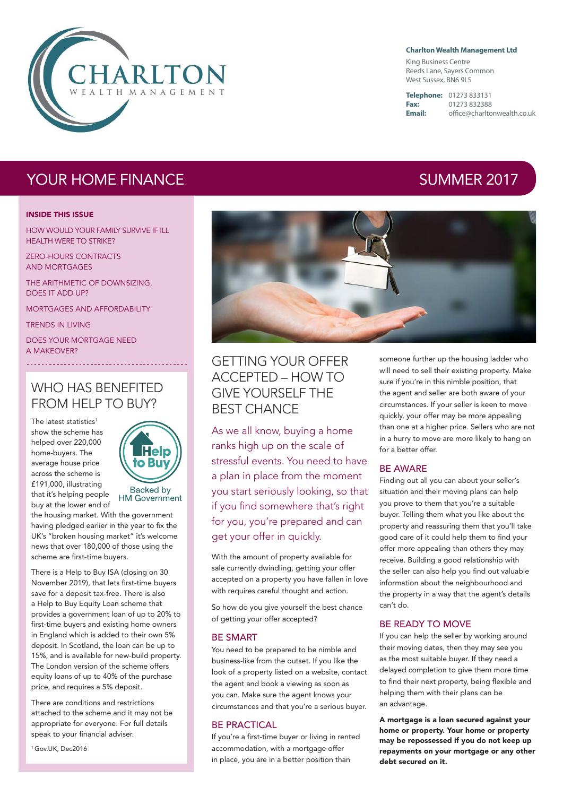

#### **Charlton Wealth Management Ltd**

King Business Centre Reeds Lane, Sayers Common West Sussex, BN6 9LS

**Telephone:** 01273 833131 **Fax:** 01273 832388

**Email:** office@charltonwealth.co.uk

# YOUR HOME FINANCE **SUMMER 2017**

#### INSIDE THIS ISSUE

HOW WOULD YOUR FAMILY SURVIVE IF ILL HEALTH WERE TO STRIKE?

ZERO-HOURS CONTRACTS AND MORTGAGES

THE ARITHMETIC OF DOWNSIZING, DOES IT ADD UP?

MORTGAGES AND AFFORDABILITY

TRENDS IN LIVING

DOES YOUR MORTGAGE NEED A MAKEOVER?

## WHO HAS BENEFITED FROM HELP TO BUY?

The latest statistics<sup>1</sup> show the scheme has helped over 220,000 home-buyers. The average house price across the scheme is £191,000, illustrating that it's helping people buy at the lower end of



the housing market. With the government having pledged earlier in the year to fix the

UK's "broken housing market" it's welcome news that over 180,000 of those using the scheme are first-time buyers.

There is a Help to Buy ISA (closing on 30 November 2019), that lets first-time buyers save for a deposit tax-free. There is also a Help to Buy Equity Loan scheme that provides a government loan of up to 20% to first-time buyers and existing home owners in England which is added to their own 5% deposit. In Scotland, the loan can be up to 15%, and is available for new-build property. The London version of the scheme offers equity loans of up to 40% of the purchase price, and requires a 5% deposit.

There are conditions and restrictions attached to the scheme and it may not be appropriate for everyone. For full details speak to your financial adviser.

<sup>1</sup> Gov.UK, Dec2016

## GETTING YOUR OFFER ACCEPTED – HOW TO GIVE YOURSELF THE BEST CHANCE

As we all know, buying a home ranks high up on the scale of stressful events. You need to have a plan in place from the moment you start seriously looking, so that if you find somewhere that's right for you, you're prepared and can get your offer in quickly.

With the amount of property available for sale currently dwindling, getting your offer accepted on a property you have fallen in love with requires careful thought and action.

So how do you give yourself the best chance of getting your offer accepted?

## BE SMART

You need to be prepared to be nimble and business-like from the outset. If you like the look of a property listed on a website, contact the agent and book a viewing as soon as you can. Make sure the agent knows your circumstances and that you're a serious buyer.

## BE PRACTICAL

If you're a first-time buyer or living in rented accommodation, with a mortgage offer in place, you are in a better position than

someone further up the housing ladder who will need to sell their existing property. Make sure if you're in this nimble position, that the agent and seller are both aware of your circumstances. If your seller is keen to move quickly, your offer may be more appealing than one at a higher price. Sellers who are not in a hurry to move are more likely to hang on for a better offer.

## BE AWARE

Finding out all you can about your seller's situation and their moving plans can help you prove to them that you're a suitable buyer. Telling them what you like about the property and reassuring them that you'll take good care of it could help them to find your offer more appealing than others they may receive. Building a good relationship with the seller can also help you find out valuable information about the neighbourhood and the property in a way that the agent's details can't do.

#### BE READY TO MOVE

If you can help the seller by working around their moving dates, then they may see you as the most suitable buyer. If they need a delayed completion to give them more time to find their next property, being flexible and helping them with their plans can be an advantage.

A mortgage is a loan secured against your home or property. Your home or property may be repossessed if you do not keep up repayments on your mortgage or any other debt secured on it.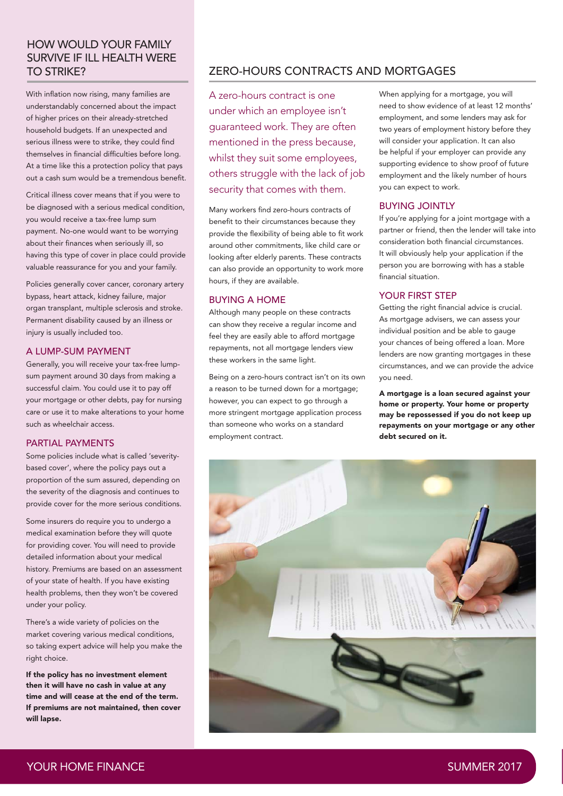# HOW WOULD YOUR FAMILY SURVIVE IF ILL HEALTH WERE

With inflation now rising, many families are understandably concerned about the impact of higher prices on their already-stretched household budgets. If an unexpected and serious illness were to strike, they could find themselves in financial difficulties before long. At a time like this a protection policy that pays out a cash sum would be a tremendous benefit.

Critical illness cover means that if you were to be diagnosed with a serious medical condition, you would receive a tax-free lump sum payment. No-one would want to be worrying about their finances when seriously ill, so having this type of cover in place could provide valuable reassurance for you and your family.

Policies generally cover cancer, coronary artery bypass, heart attack, kidney failure, major organ transplant, multiple sclerosis and stroke. Permanent disability caused by an illness or injury is usually included too.

## A LUMP-SUM PAYMENT

Generally, you will receive your tax-free lumpsum payment around 30 days from making a successful claim. You could use it to pay off your mortgage or other debts, pay for nursing care or use it to make alterations to your home such as wheelchair access.

## PARTIAL PAYMENTS

Some policies include what is called 'severitybased cover', where the policy pays out a proportion of the sum assured, depending on the severity of the diagnosis and continues to provide cover for the more serious conditions.

Some insurers do require you to undergo a medical examination before they will quote for providing cover. You will need to provide detailed information about your medical history. Premiums are based on an assessment of your state of health. If you have existing health problems, then they won't be covered under your policy.

There's a wide variety of policies on the market covering various medical conditions, so taking expert advice will help you make the right choice.

If the policy has no investment element then it will have no cash in value at any time and will cease at the end of the term. If premiums are not maintained, then cover will lapse.

## TO STRIKE? ZERO-HOURS CONTRACTS AND MORTGAGES

A zero-hours contract is one under which an employee isn't guaranteed work. They are often mentioned in the press because, whilst they suit some employees, others struggle with the lack of job security that comes with them.

Many workers find zero-hours contracts of benefit to their circumstances because they provide the flexibility of being able to fit work around other commitments, like child care or looking after elderly parents. These contracts can also provide an opportunity to work more hours, if they are available.

#### BUYING A HOME

Although many people on these contracts can show they receive a regular income and feel they are easily able to afford mortgage repayments, not all mortgage lenders view these workers in the same light.

Being on a zero-hours contract isn't on its own a reason to be turned down for a mortgage; however, you can expect to go through a more stringent mortgage application process than someone who works on a standard employment contract.

When applying for a mortgage, you will need to show evidence of at least 12 months' employment, and some lenders may ask for two years of employment history before they will consider your application. It can also be helpful if your employer can provide any supporting evidence to show proof of future employment and the likely number of hours you can expect to work.

## BUYING JOINTLY

If you're applying for a joint mortgage with a partner or friend, then the lender will take into consideration both financial circumstances. It will obviously help your application if the person you are borrowing with has a stable financial situation.

## YOUR FIRST STEP

Getting the right financial advice is crucial. As mortgage advisers, we can assess your individual position and be able to gauge your chances of being offered a loan. More lenders are now granting mortgages in these circumstances, and we can provide the advice you need.

A mortgage is a loan secured against your home or property. Your home or property may be repossessed if you do not keep up repayments on your mortgage or any other debt secured on it.

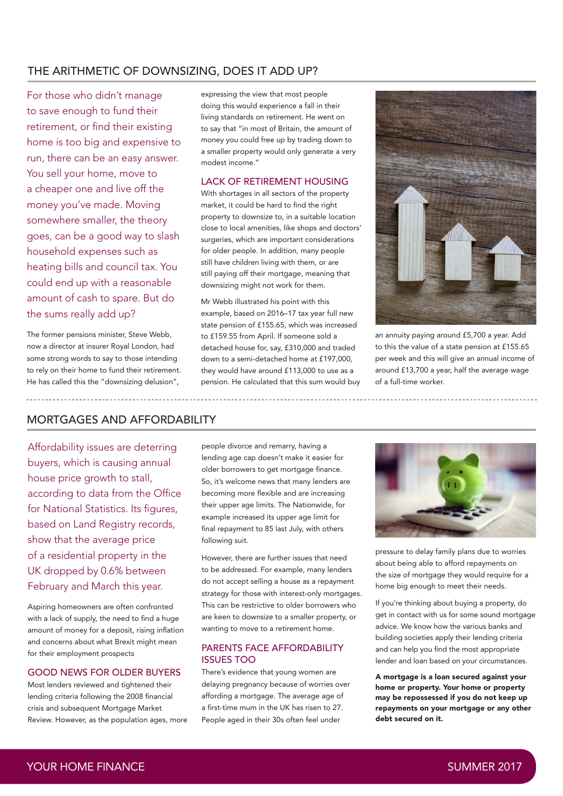## THE ARITHMETIC OF DOWNSIZING, DOES IT ADD UP?

For those who didn't manage to save enough to fund their retirement, or find their existing home is too big and expensive to run, there can be an easy answer. You sell your home, move to a cheaper one and live off the money you've made. Moving somewhere smaller, the theory goes, can be a good way to slash household expenses such as heating bills and council tax. You could end up with a reasonable amount of cash to spare. But do the sums really add up?

The former pensions minister, Steve Webb, now a director at insurer Royal London, had some strong words to say to those intending to rely on their home to fund their retirement. He has called this the "downsizing delusion",

expressing the view that most people doing this would experience a fall in their living standards on retirement. He went on to say that "in most of Britain, the amount of money you could free up by trading down to a smaller property would only generate a very modest income."

## LACK OF RETIREMENT HOUSING

With shortages in all sectors of the property market, it could be hard to find the right property to downsize to, in a suitable location close to local amenities, like shops and doctors' surgeries, which are important considerations for older people. In addition, many people still have children living with them, or are still paying off their mortgage, meaning that downsizing might not work for them.

Mr Webb illustrated his point with this example, based on 2016–17 tax year full new state pension of £155.65, which was increased to £159.55 from April. If someone sold a detached house for, say, £310,000 and traded down to a semi-detached home at £197,000, they would have around £113,000 to use as a pension. He calculated that this sum would buy



an annuity paying around £5,700 a year. Add to this the value of a state pension at £155.65 per week and this will give an annual income of around £13,700 a year, half the average wage of a full-time worker.

## MORTGAGES AND AFFORDABILITY

Affordability issues are deterring buyers, which is causing annual house price growth to stall, according to data from the Office for National Statistics. Its figures, based on Land Registry records, show that the average price of a residential property in the UK dropped by 0.6% between February and March this year.

Aspiring homeowners are often confronted with a lack of supply, the need to find a huge amount of money for a deposit, rising inflation and concerns about what Brexit might mean for their employment prospects

## GOOD NEWS FOR OLDER BUYERS

Most lenders reviewed and tightened their lending criteria following the 2008 financial crisis and subsequent Mortgage Market Review. However, as the population ages, more people divorce and remarry, having a lending age cap doesn't make it easier for older borrowers to get mortgage finance. So, it's welcome news that many lenders are becoming more flexible and are increasing their upper age limits. The Nationwide, for example increased its upper age limit for final repayment to 85 last July, with others following suit.

However, there are further issues that need to be addressed. For example, many lenders do not accept selling a house as a repayment strategy for those with interest-only mortgages. This can be restrictive to older borrowers who are keen to downsize to a smaller property, or wanting to move to a retirement home.

## PARENTS FACE AFFORDABILITY ISSUES TOO

There's evidence that young women are delaying pregnancy because of worries over affording a mortgage. The average age of a first-time mum in the UK has risen to 27. People aged in their 30s often feel under



pressure to delay family plans due to worries about being able to afford repayments on the size of mortgage they would require for a home big enough to meet their needs.

If you're thinking about buying a property, do get in contact with us for some sound mortgage advice. We know how the various banks and building societies apply their lending criteria and can help you find the most appropriate lender and loan based on your circumstances.

A mortgage is a loan secured against your home or property. Your home or property may be repossessed if you do not keep up repayments on your mortgage or any other debt secured on it.